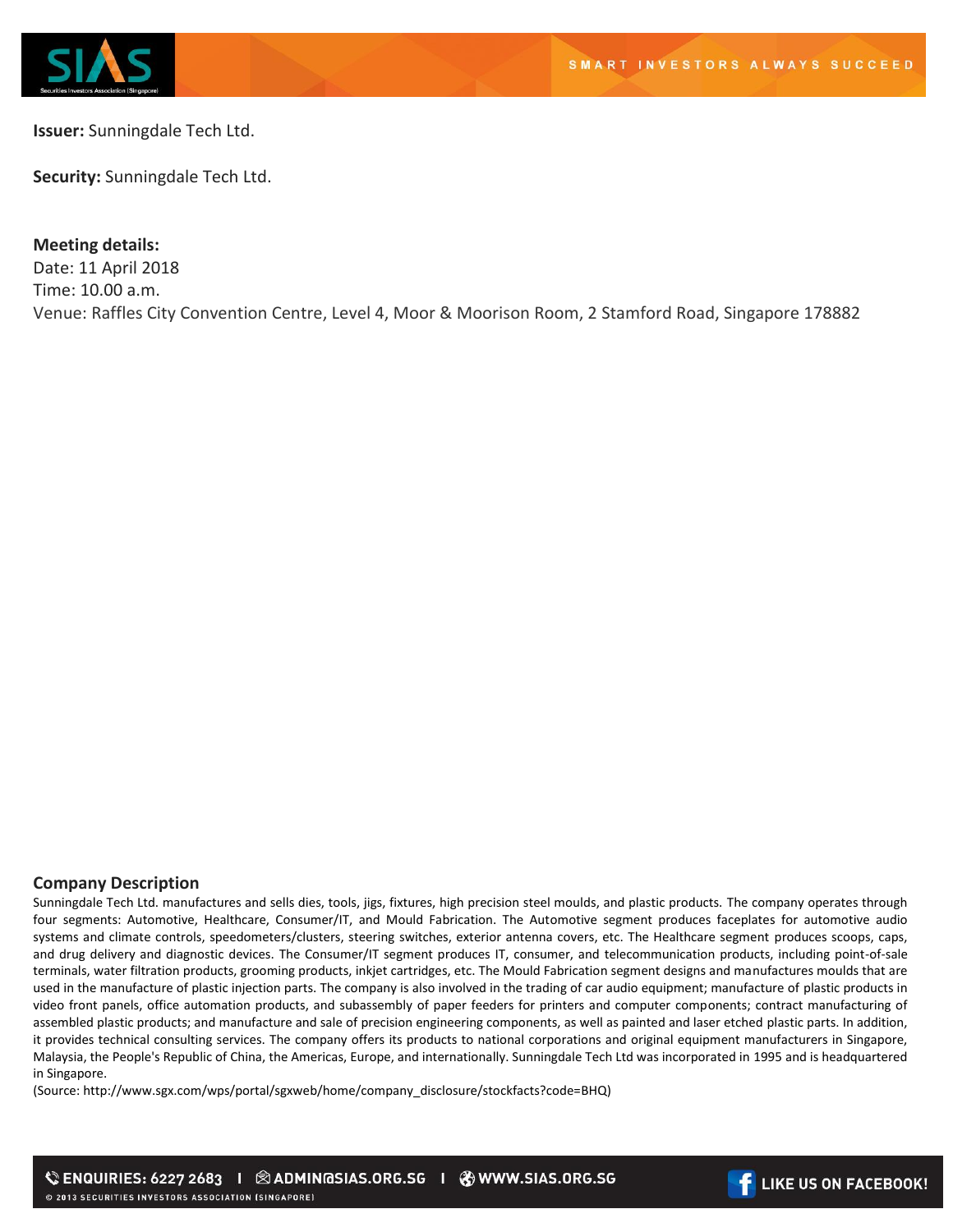

**Issuer:** Sunningdale Tech Ltd.

**Security:** Sunningdale Tech Ltd.

**Meeting details:** 

Date: 11 April 2018 Time: 10.00 a.m. Venue: Raffles City Convention Centre, Level 4, Moor & Moorison Room, 2 Stamford Road, Singapore 178882

## **Company Description**

Sunningdale Tech Ltd. manufactures and sells dies, tools, jigs, fixtures, high precision steel moulds, and plastic products. The company operates through four segments: Automotive, Healthcare, Consumer/IT, and Mould Fabrication. The Automotive segment produces faceplates for automotive audio systems and climate controls, speedometers/clusters, steering switches, exterior antenna covers, etc. The Healthcare segment produces scoops, caps, and drug delivery and diagnostic devices. The Consumer/IT segment produces IT, consumer, and telecommunication products, including point-of-sale terminals, water filtration products, grooming products, inkjet cartridges, etc. The Mould Fabrication segment designs and manufactures moulds that are used in the manufacture of plastic injection parts. The company is also involved in the trading of car audio equipment; manufacture of plastic products in video front panels, office automation products, and subassembly of paper feeders for printers and computer components; contract manufacturing of assembled plastic products; and manufacture and sale of precision engineering components, as well as painted and laser etched plastic parts. In addition, it provides technical consulting services. The company offers its products to national corporations and original equipment manufacturers in Singapore, Malaysia, the People's Republic of China, the Americas, Europe, and internationally. Sunningdale Tech Ltd was incorporated in 1995 and is headquartered in Singapore.

(Source: http://www.sgx.com/wps/portal/sgxweb/home/company\_disclosure/stockfacts?code=BHQ)

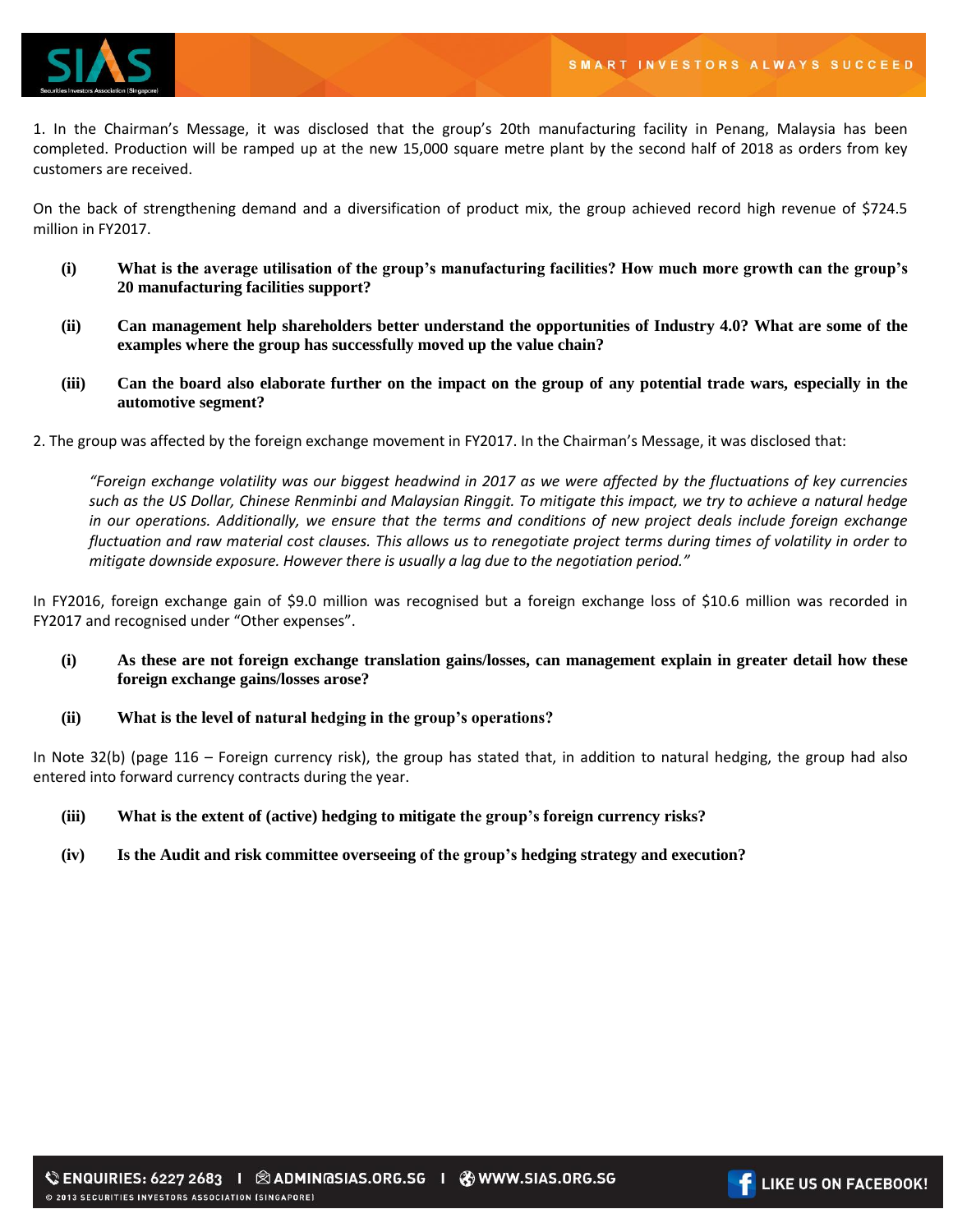

1. In the Chairman's Message, it was disclosed that the group's 20th manufacturing facility in Penang, Malaysia has been completed. Production will be ramped up at the new 15,000 square metre plant by the second half of 2018 as orders from key customers are received.

On the back of strengthening demand and a diversification of product mix, the group achieved record high revenue of \$724.5 million in FY2017.

- **(i) What is the average utilisation of the group's manufacturing facilities? How much more growth can the group's 20 manufacturing facilities support?**
- **(ii) Can management help shareholders better understand the opportunities of Industry 4.0? What are some of the examples where the group has successfully moved up the value chain?**
- **(iii) Can the board also elaborate further on the impact on the group of any potential trade wars, especially in the automotive segment?**
- 2. The group was affected by the foreign exchange movement in FY2017. In the Chairman's Message, it was disclosed that:

*"Foreign exchange volatility was our biggest headwind in 2017 as we were affected by the fluctuations of key currencies such as the US Dollar, Chinese Renminbi and Malaysian Ringgit. To mitigate this impact, we try to achieve a natural hedge in our operations. Additionally, we ensure that the terms and conditions of new project deals include foreign exchange fluctuation and raw material cost clauses. This allows us to renegotiate project terms during times of volatility in order to mitigate downside exposure. However there is usually a lag due to the negotiation period."*

In FY2016, foreign exchange gain of \$9.0 million was recognised but a foreign exchange loss of \$10.6 million was recorded in FY2017 and recognised under "Other expenses".

- **(i) As these are not foreign exchange translation gains/losses, can management explain in greater detail how these foreign exchange gains/losses arose?**
- **(ii) What is the level of natural hedging in the group's operations?**

In Note 32(b) (page 116 – Foreign currency risk), the group has stated that, in addition to natural hedging, the group had also entered into forward currency contracts during the year.

- **(iii) What is the extent of (active) hedging to mitigate the group's foreign currency risks?**
- **(iv) Is the Audit and risk committee overseeing of the group's hedging strategy and execution?**